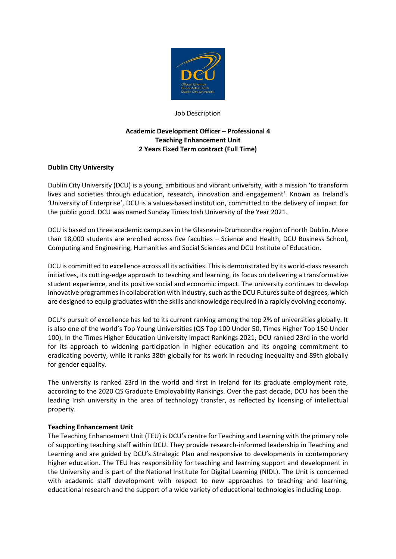

#### Job Description

# **Academic Development Officer – Professional 4 Teaching Enhancement Unit 2 Years Fixed Term contract (Full Time)**

## **Dublin City University**

Dublin City University (DCU) is a young, ambitious and vibrant university, with a mission 'to transform lives and societies through education, research, innovation and engagement'. Known as Ireland's 'University of Enterprise', DCU is a values-based institution, committed to the delivery of impact for the public good. DCU was named Sunday Times Irish University of the Year 2021.

DCU is based on three academic campuses in the Glasnevin-Drumcondra region of north Dublin. More than 18,000 students are enrolled across five faculties – Science and Health, DCU Business School, Computing and Engineering, Humanities and Social Sciences and DCU Institute of Education.

DCU is committed to excellence across all its activities. This is demonstrated by its world-class research initiatives, its cutting-edge approach to teaching and learning, its focus on delivering a transformative student experience, and its positive social and economic impact. The university continues to develop innovative programmes in collaboration with industry, such as the DCU Futures suite of degrees, which are designed to equip graduates with the skills and knowledge required in a rapidly evolving economy.

DCU's pursuit of excellence has led to its current ranking among the top 2% of universities globally. It is also one of the world's Top Young Universities (QS Top 100 Under 50, Times Higher Top 150 Under 100). In the Times Higher Education University Impact Rankings 2021, DCU ranked 23rd in the world for its approach to widening participation in higher education and its ongoing commitment to eradicating poverty, while it ranks 38th globally for its work in reducing inequality and 89th globally for gender equality.

The university is ranked 23rd in the world and first in Ireland for its graduate employment rate, according to the 2020 QS Graduate Employability Rankings. Over the past decade, DCU has been the leading Irish university in the area of technology transfer, as reflected by licensing of intellectual property.

### **Teaching Enhancement Unit**

The Teaching Enhancement Unit (TEU) is DCU's centre for Teaching and Learning with the primary role of supporting teaching staff within DCU. They provide research-informed leadership in Teaching and Learning and are guided by DCU's Strategic Plan and responsive to developments in contemporary higher education. The TEU has responsibility for teaching and learning support and development in the University and is part of the National Institute for Digital Learning (NIDL). The Unit is concerned with academic staff development with respect to new approaches to teaching and learning, educational research and the support of a wide variety of educational technologies including Loop.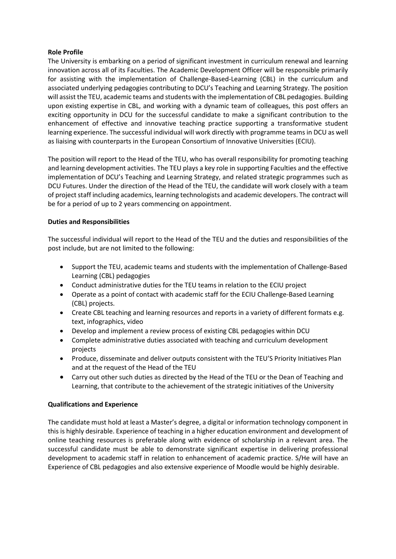## **Role Profile**

The University is embarking on a period of significant investment in curriculum renewal and learning innovation across all of its Faculties. The Academic Development Officer will be responsible primarily for assisting with the implementation of Challenge-Based-Learning (CBL) in the curriculum and associated underlying pedagogies contributing to DCU's Teaching and Learning Strategy. The position will assist the TEU, academic teams and students with the implementation of CBL pedagogies. Building upon existing expertise in CBL, and working with a dynamic team of colleagues, this post offers an exciting opportunity in DCU for the successful candidate to make a significant contribution to the enhancement of effective and innovative teaching practice supporting a transformative student learning experience. The successful individual will work directly with programme teams in DCU as well as liaising with counterparts in the European Consortium of Innovative Universities (ECIU).

The position will report to the Head of the TEU, who has overall responsibility for promoting teaching and learning development activities. The TEU plays a key role in supporting Faculties and the effective implementation of DCU's Teaching and Learning Strategy, and related strategic programmes such as DCU Futures. Under the direction of the Head of the TEU, the candidate will work closely with a team of project staff including academics, learning technologists and academic developers. The contract will be for a period of up to 2 years commencing on appointment.

## **Duties and Responsibilities**

The successful individual will report to the Head of the TEU and the duties and responsibilities of the post include, but are not limited to the following:

- Support the TEU, academic teams and students with the implementation of Challenge-Based Learning (CBL) pedagogies
- Conduct administrative duties for the TEU teams in relation to the ECIU project
- Operate as a point of contact with academic staff for the ECIU Challenge-Based Learning (CBL) projects.
- Create CBL teaching and learning resources and reports in a variety of different formats e.g. text, infographics, video
- Develop and implement a review process of existing CBL pedagogies within DCU
- Complete administrative duties associated with teaching and curriculum development projects
- Produce, disseminate and deliver outputs consistent with the TEU'S Priority Initiatives Plan and at the request of the Head of the TEU
- Carry out other such duties as directed by the Head of the TEU or the Dean of Teaching and Learning, that contribute to the achievement of the strategic initiatives of the University

### **Qualifications and Experience**

The candidate must hold at least a Master's degree, a digital or information technology component in this is highly desirable. Experience of teaching in a higher education environment and development of online teaching resources is preferable along with evidence of scholarship in a relevant area. The successful candidate must be able to demonstrate significant expertise in delivering professional development to academic staff in relation to enhancement of academic practice. S/He will have an Experience of CBL pedagogies and also extensive experience of Moodle would be highly desirable.